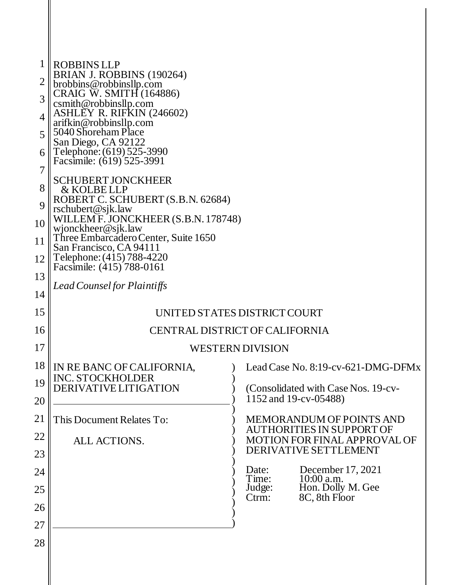| 1<br>2<br>3 | ROBBINS LLP<br>BRIAN J. ROBBINS (190264)<br>brobbins@robbinsllp.com<br>CRAIG W. SMITH (164886) |                                                                         |  |  |  |  |
|-------------|------------------------------------------------------------------------------------------------|-------------------------------------------------------------------------|--|--|--|--|
|             | csmith@robbinsllp.com<br>ASHLEY R. RIFKIN (246602)                                             |                                                                         |  |  |  |  |
| 4           | arifkin@robbinsllp.com<br>5040 Shoreham Place                                                  |                                                                         |  |  |  |  |
| 5           | San Diego, CA 92122                                                                            |                                                                         |  |  |  |  |
| 6           | Telephone: (619) 525-3990<br>Facsimile: (619) 525-3991                                         |                                                                         |  |  |  |  |
| 7           | <b>SCHUBERT JONCKHEER</b>                                                                      |                                                                         |  |  |  |  |
| 8           | & KOLBE LLP<br>ROBERT C. SCHUBERT (S.B.N. 62684)                                               |                                                                         |  |  |  |  |
| 9           | rschubert@sjk.law<br>WILLEM F. JONCKHEER (S.B.N. 178748)                                       |                                                                         |  |  |  |  |
| 10          | wjonckheer@sjk.law                                                                             |                                                                         |  |  |  |  |
| 11          | Three Embarcadero Center, Suite 1650<br>San Francisco, CA 94111                                |                                                                         |  |  |  |  |
| 12          | Telephone: (415) 788-4220<br>Facsimile: (415) 788-0161                                         |                                                                         |  |  |  |  |
| 13          |                                                                                                |                                                                         |  |  |  |  |
| 14          | Lead Counsel for Plaintiffs                                                                    |                                                                         |  |  |  |  |
| 15          |                                                                                                | UNITED STATES DISTRICT COURT                                            |  |  |  |  |
| 16          |                                                                                                | CENTRAL DISTRICT OF CALIFORNIA                                          |  |  |  |  |
| 17          |                                                                                                | <b>WESTERN DIVISION</b>                                                 |  |  |  |  |
| 18          | IN RE BANC OF CALIFORNIA                                                                       | Lead Case No. 8:19-cv-621-DMG-DFMx                                      |  |  |  |  |
| 19          | INC. STOCKHOLDER<br><b>DERIVATIVE LITIGATION</b>                                               | (Consolidated with Case Nos. 19-cv-                                     |  |  |  |  |
| 20          |                                                                                                | 1152 and 19-cv-05488)                                                   |  |  |  |  |
| 21          | This Document Relates To:                                                                      | <b>MEMORANDUM OF POINTS AND</b>                                         |  |  |  |  |
| 22          | <b>ALL ACTIONS.</b>                                                                            | <b>AUTHORITIES IN SUPPORT OF</b><br><b>MOTION FOR FINAL APPROVAL OF</b> |  |  |  |  |
| 23          |                                                                                                | DERIVATIVE SETTLEMENT                                                   |  |  |  |  |
| 24          |                                                                                                | December 17, 2021<br>Date:<br>Time:<br>$10:00$ a.m.                     |  |  |  |  |
| 25          |                                                                                                | Hon. Dolly M. Gee<br>Judge:                                             |  |  |  |  |
| 26          |                                                                                                | Ctrm:<br>8C, 8th Floor                                                  |  |  |  |  |
| 27          |                                                                                                |                                                                         |  |  |  |  |
| 28          |                                                                                                |                                                                         |  |  |  |  |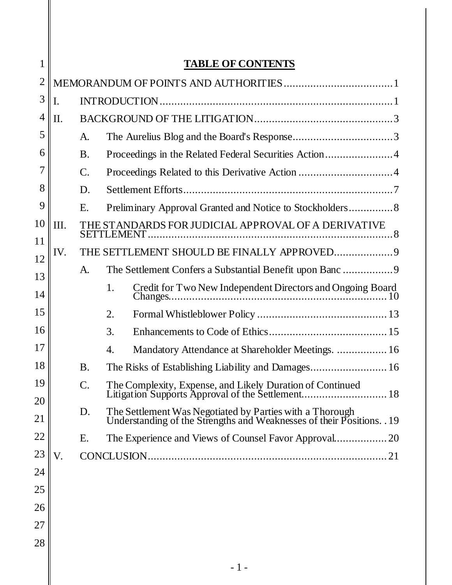| 1              | <b>TABLE OF CONTENTS</b> |                                                     |            |                                                                                                                                    |
|----------------|--------------------------|-----------------------------------------------------|------------|------------------------------------------------------------------------------------------------------------------------------------|
| $\overline{2}$ |                          |                                                     |            |                                                                                                                                    |
| 3              | Ι.                       |                                                     |            |                                                                                                                                    |
| $\overline{4}$ | II.                      |                                                     |            |                                                                                                                                    |
| 5              |                          | A.                                                  |            |                                                                                                                                    |
| 6              |                          | <b>B.</b>                                           |            |                                                                                                                                    |
| 7              |                          | $\mathbf{C}$ .                                      |            |                                                                                                                                    |
| 8              |                          | D.                                                  |            |                                                                                                                                    |
| 9              |                          | Е.                                                  |            |                                                                                                                                    |
| 10             | Ш.                       | THE STANDARDS FOR JUDICIAL APPROVAL OF A DERIVATIVE |            |                                                                                                                                    |
| 11             | IV.                      |                                                     |            | THE SETTLEMENT SHOULD BE FINALLY APPROVED9                                                                                         |
| 12<br>13       |                          | A.                                                  |            | The Settlement Confers a Substantial Benefit upon Banc 9                                                                           |
| 14             |                          |                                                     | 1.         | Credit for Two New Independent Directors and Ongoing Board                                                                         |
| 15             |                          |                                                     | 2.         |                                                                                                                                    |
| 16             |                          |                                                     | 3.         |                                                                                                                                    |
| 17             |                          |                                                     | 4.         | Mandatory Attendance at Shareholder Meetings.  16                                                                                  |
| 18             |                          | <b>B.</b>                                           |            |                                                                                                                                    |
| 19             |                          | C.                                                  |            | The Complexity, Expense, and Likely Duration of Continued<br>Litigation Supports Approval of the Settlement.                       |
| 20             |                          | D.                                                  |            |                                                                                                                                    |
| 21             |                          |                                                     |            | The Settlement Was Negotiated by Parties with a Thorough<br>Understanding of the Strengths and Weaknesses of their Positions. . 19 |
| 22             |                          | Ε.                                                  |            |                                                                                                                                    |
| 23             | V.                       |                                                     | CONCLUSION |                                                                                                                                    |
| 24             |                          |                                                     |            |                                                                                                                                    |
| 25             |                          |                                                     |            |                                                                                                                                    |
| 26             |                          |                                                     |            |                                                                                                                                    |
| 27             |                          |                                                     |            |                                                                                                                                    |
| 28             |                          |                                                     |            |                                                                                                                                    |
|                |                          |                                                     |            |                                                                                                                                    |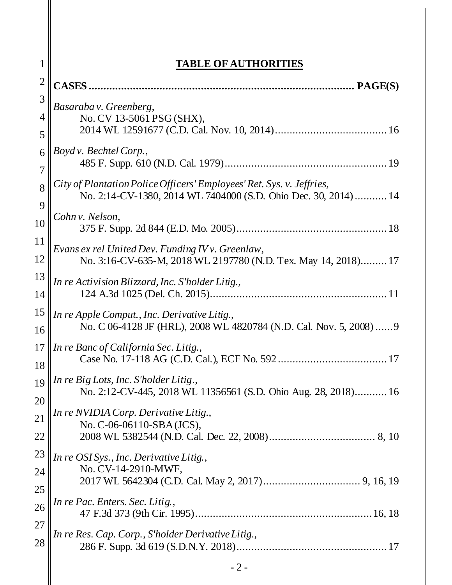| 1              | <b>TABLE OF AUTHORITIES</b>                                                                                                             |  |  |  |  |
|----------------|-----------------------------------------------------------------------------------------------------------------------------------------|--|--|--|--|
| $\overline{2}$ |                                                                                                                                         |  |  |  |  |
| 3              |                                                                                                                                         |  |  |  |  |
| 4              | Basaraba v. Greenberg,<br>No. CV 13-5061 PSG (SHX),                                                                                     |  |  |  |  |
| 5              |                                                                                                                                         |  |  |  |  |
| 6              | Boyd v. Bechtel Corp.,                                                                                                                  |  |  |  |  |
| 7              |                                                                                                                                         |  |  |  |  |
| 8              | City of Plantation Police Officers' Employees' Ret. Sys. v. Jeffries,<br>No. 2:14-CV-1380, 2014 WL 7404000 (S.D. Ohio Dec. 30, 2014) 14 |  |  |  |  |
| 9<br>10        | Cohn v. Nelson,                                                                                                                         |  |  |  |  |
| 11<br>12       | Evans ex rel United Dev. Funding IV v. Greenlaw,<br>No. 3:16-CV-635-M, 2018 WL 2197780 (N.D. Tex. May 14, 2018) 17                      |  |  |  |  |
| 13<br>14       | In re Activision Blizzard, Inc. S'holder Litig.,                                                                                        |  |  |  |  |
| 15<br>16       | In re Apple Comput., Inc. Derivative Litig.,<br>No. C 06-4128 JF (HRL), 2008 WL 4820784 (N.D. Cal. Nov. 5, 2008)  9                     |  |  |  |  |
| 17<br>18       | In re Banc of California Sec. Litig.,                                                                                                   |  |  |  |  |
| 19<br>20       | In re Big Lots, Inc. S'holder Litig.,<br>No. 2:12-CV-445, 2018 WL 11356561 (S.D. Ohio Aug. 28, 2018) 16                                 |  |  |  |  |
| 21             | In re NVIDIA Corp. Derivative Litig.,<br>No. C-06-06110-SBA(JCS),                                                                       |  |  |  |  |
| 22             |                                                                                                                                         |  |  |  |  |
| 23             | In re OSI Sys., Inc. Derivative Litig.,<br>No. CV-14-2910-MWF,                                                                          |  |  |  |  |
| 24<br>25       |                                                                                                                                         |  |  |  |  |
| 26             | In re Pac. Enters. Sec. Litig.,                                                                                                         |  |  |  |  |
| 27<br>28       | In re Res. Cap. Corp., S'holder Derivative Litig.,                                                                                      |  |  |  |  |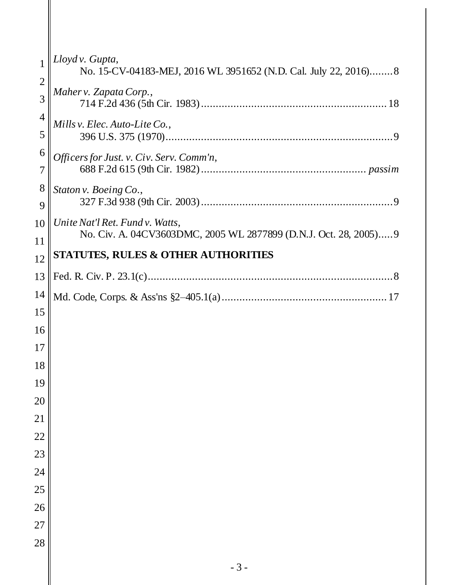|                     | Lloyd v. Gupta,<br>No. 15-CV-04183-MEJ, 2016 WL 3951652 (N.D. Cal. July 22, 2016)8                   |  |
|---------------------|------------------------------------------------------------------------------------------------------|--|
| $\overline{2}$<br>3 | Maher v. Zapata Corp.,                                                                               |  |
| $\overline{4}$      |                                                                                                      |  |
| 5                   | Mills v. Elec. Auto-Lite Co.,                                                                        |  |
| 6                   | Officers for Just. v. Civ. Serv. Comm'n,                                                             |  |
| 7                   |                                                                                                      |  |
| 8<br>9              | Staton v. Boeing Co.,                                                                                |  |
| 10                  | Unite Nat'l Ret. Fund v. Watts,<br>No. Civ. A. 04CV3603DMC, 2005 WL 2877899 (D.N.J. Oct. 28, 2005) 9 |  |
| 11                  |                                                                                                      |  |
| 12                  | <b>STATUTES, RULES &amp; OTHER AUTHORITIES</b>                                                       |  |
| 13                  |                                                                                                      |  |
| 14                  |                                                                                                      |  |
| 15                  |                                                                                                      |  |
| 16                  |                                                                                                      |  |
| 17                  |                                                                                                      |  |
| 18                  |                                                                                                      |  |
| 19                  |                                                                                                      |  |
| 20                  |                                                                                                      |  |
| 21                  |                                                                                                      |  |
| 22                  |                                                                                                      |  |
| 23                  |                                                                                                      |  |
| 24                  |                                                                                                      |  |
| 25                  |                                                                                                      |  |
| 26                  |                                                                                                      |  |
| 27                  |                                                                                                      |  |
| 28                  |                                                                                                      |  |
|                     | $-3-$                                                                                                |  |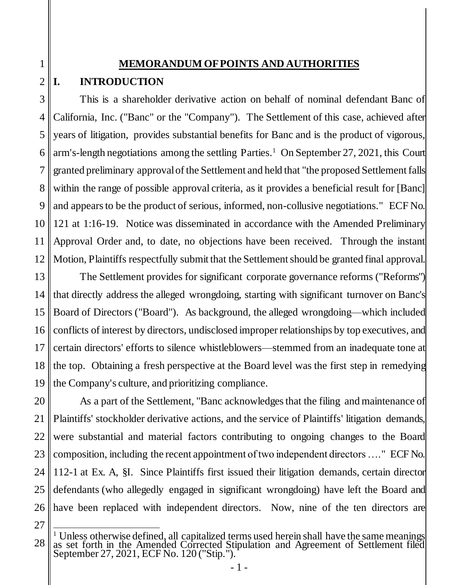# **MEMORANDUM OF POINTS AND AUTHORITIES**

# <span id="page-4-1"></span>**I. INTRODUCTION**

<span id="page-4-0"></span>1

2

3 4 5 6 7 8 9 10 11 12 This is a shareholder derivative action on behalf of nominal defendant Banc of California, Inc. ("Banc" or the "Company"). The Settlement of this case, achieved after years of litigation, provides substantial benefits for Banc and is the product of vigorous, arm's-length negotiations among the settling Parties. <sup>1</sup> On September 27, 2021, this Court granted preliminary approval of the Settlement and held that "the proposed Settlement falls within the range of possible approval criteria, as it provides a beneficial result for [Banc] and appears to be the product of serious, informed, non-collusive negotiations." ECF No. 121 at 1:16-19. Notice was disseminated in accordance with the Amended Preliminary Approval Order and, to date, no objections have been received. Through the instant Motion, Plaintiffs respectfully submit that the Settlement should be granted final approval.

13 14 15 16 17 18 19 The Settlement provides for significant corporate governance reforms ("Reforms") that directly address the alleged wrongdoing, starting with significant turnover on Banc's Board of Directors ("Board"). As background, the alleged wrongdoing—which included conflicts of interest by directors, undisclosed improper relationships by top executives, and certain directors' efforts to silence whistleblowers—stemmed from an inadequate tone at the top. Obtaining a fresh perspective at the Board level was the first step in remedying the Company's culture, and prioritizing compliance.

20 21 22 23 24 25 26 As a part of the Settlement, "Banc acknowledges that the filing and maintenance of Plaintiffs' stockholder derivative actions, and the service of Plaintiffs' litigation demands, were substantial and material factors contributing to ongoing changes to the Board composition, including the recent appointment of two independent directors …." ECF No. 112-1 at Ex. A, §I. Since Plaintiffs first issued their litigation demands, certain director defendants (who allegedly engaged in significant wrongdoing) have left the Board and have been replaced with independent directors. Now, nine of the ten directors are

<sup>28</sup>  $\frac{1}{4}$ <sup>1</sup> Unless otherwise defined, all capitalized terms used herein shall have the same meanings as set forth in the Amended Corrected Stipulation and Agreement of Settlement filed September 27, 2021, ECF No. 120 ("Stip.").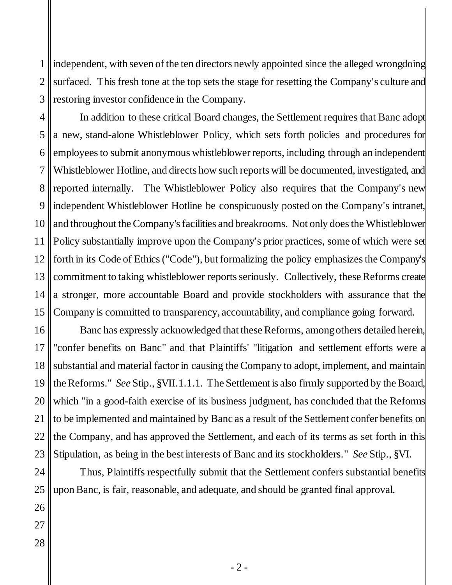1 2 3 independent, with seven of the ten directors newly appointed since the alleged wrongdoing surfaced. This fresh tone at the top sets the stage for resetting the Company's culture and restoring investor confidence in the Company.

4 5 6 7 8 9 10 11 12 13 14 15 In addition to these critical Board changes, the Settlement requires that Banc adopt a new, stand-alone Whistleblower Policy, which sets forth policies and procedures for employees to submit anonymous whistleblower reports, including through an independent Whistleblower Hotline, and directs how such reports will be documented, investigated, and reported internally. The Whistleblower Policy also requires that the Company's new independent Whistleblower Hotline be conspicuously posted on the Company's intranet, and throughout the Company's facilities and breakrooms. Not only does the Whistleblower Policy substantially improve upon the Company's prior practices, some of which were set forth in its Code of Ethics ("Code"), but formalizing the policy emphasizes the Company's commitment to taking whistleblower reports seriously. Collectively, these Reforms create a stronger, more accountable Board and provide stockholders with assurance that the Company is committed to transparency, accountability, and compliance going forward.

16 Banc has expressly acknowledged that these Reforms, among others detailed herein, "confer benefits on Banc" and that Plaintiffs' "litigation and settlement efforts were a substantial and material factor in causing the Company to adopt, implement, and maintain the Reforms." *See* Stip., §VII.1.1.1. The Settlement is also firmly supported by the Board, which "in a good-faith exercise of its business judgment, has concluded that the Reforms to be implemented and maintained by Banc as a result of the Settlement confer benefits on the Company, and has approved the Settlement, and each of its terms as set forth in this Stipulation, as being in the best interests of Banc and its stockholders." *See* Stip., §VI.

Thus, Plaintiffs respectfully submit that the Settlement confers substantial benefits upon Banc, is fair, reasonable, and adequate, and should be granted final approval.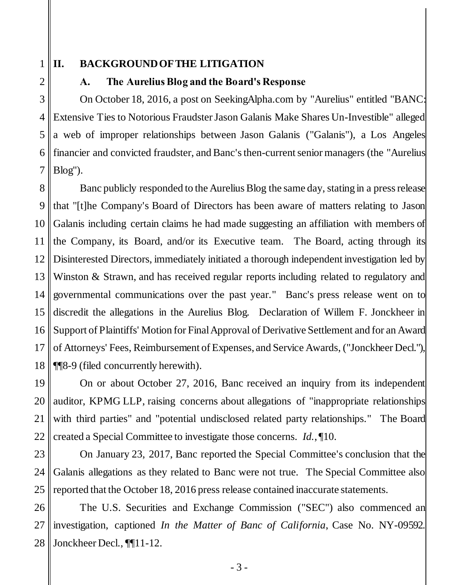1

2

## <span id="page-6-1"></span><span id="page-6-0"></span>**II. BACKGROUND OF THE LITIGATION**

### **A. The Aurelius Blog and the Board's Response**

3 4 5 6 7 On October 18, 2016, a post on SeekingAlpha.com by "Aurelius" entitled "BANC: Extensive Ties to Notorious Fraudster Jason Galanis Make Shares Un-Investible" alleged a web of improper relationships between Jason Galanis ("Galanis"), a Los Angeles financier and convicted fraudster, and Banc's then-current senior managers (the "Aurelius Blog").

8 9 10 11 12 13 14 15 16 17 18 Banc publicly responded to the Aurelius Blog the same day, stating in a press release that "[t]he Company's Board of Directors has been aware of matters relating to Jason Galanis including certain claims he had made suggesting an affiliation with members of the Company, its Board, and/or its Executive team. The Board, acting through its Disinterested Directors, immediately initiated a thorough independent investigation led by Winston & Strawn, and has received regular reports including related to regulatory and governmental communications over the past year." Banc's press release went on to discredit the allegations in the Aurelius Blog. Declaration of Willem F. Jonckheer in Support of Plaintiffs' Motion for Final Approval of Derivative Settlement and for an Award of Attorneys' Fees, Reimbursement of Expenses, and Service Awards, ("Jonckheer Decl."), ¶¶8-9 (filed concurrently herewith).

19 20 21 22 On or about October 27, 2016, Banc received an inquiry from its independent auditor, KPMG LLP, raising concerns about allegations of "inappropriate relationships with third parties" and "potential undisclosed related party relationships." The Board created a Special Committee to investigate those concerns. *Id.*, ¶10.

23 24 25 On January 23, 2017, Banc reported the Special Committee's conclusion that the Galanis allegations as they related to Banc were not true. The Special Committee also reported that the October 18, 2016 press release contained inaccurate statements.

26 27 28 The U.S. Securities and Exchange Commission ("SEC") also commenced an investigation, captioned *In the Matter of Banc of California*, Case No. NY-09592. Jonckheer Decl., ¶¶11-12.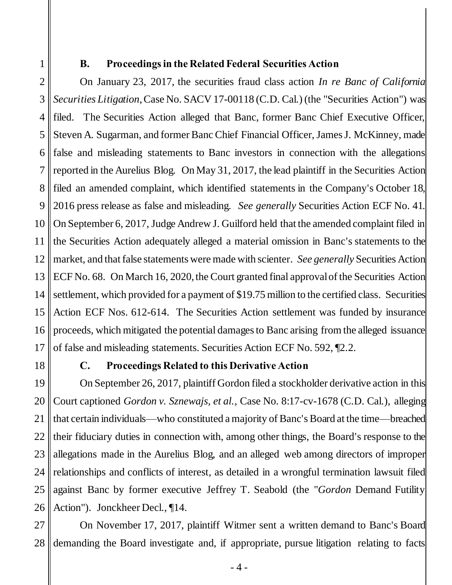<span id="page-7-0"></span>1

# **B. Proceedings in the Related Federal Securities Action**

2 3 4 5 6 7 8 9 10 11 12 13 14 15 16 17 On January 23, 2017, the securities fraud class action *In re Banc of California Securities Litigation*, Case No. SACV 17-00118 (C.D. Cal.) (the "Securities Action") was filed. The Securities Action alleged that Banc, former Banc Chief Executive Officer, Steven A. Sugarman, and former Banc Chief Financial Officer, James J. McKinney, made false and misleading statements to Banc investors in connection with the allegations reported in the Aurelius Blog. On May 31, 2017, the lead plaintiff in the Securities Action filed an amended complaint, which identified statements in the Company's October 18, 2016 press release as false and misleading. *See generally* Securities Action ECF No. 41. On September 6, 2017, Judge Andrew J. Guilford held that the amended complaint filed in the Securities Action adequately alleged a material omission in Banc's statements to the market, and that false statements were made with scienter. *See generally* Securities Action ECF No. 68. On March 16, 2020, the Court granted final approval of the Securities Action settlement, which provided for a payment of \$19.75 million to the certified class. Securities Action ECF Nos. 612-614. The Securities Action settlement was funded by insurance proceeds, which mitigated the potential damages to Banc arising from the alleged issuance of false and misleading statements. Securities Action ECF No. 592, ¶2.2.

<span id="page-7-1"></span>18

### **C. Proceedings Related to this Derivative Action**

19 20 21 22 23 24 25 26 On September 26, 2017, plaintiff Gordon filed a stockholder derivative action in this Court captioned *Gordon v. Sznewajs, et al.,* Case No. 8:17-cv-1678 (C.D. Cal.), alleging that certain individuals—who constituted a majority of Banc's Board at the time—breached their fiduciary duties in connection with, among other things, the Board's response to the allegations made in the Aurelius Blog, and an alleged web among directors of improper relationships and conflicts of interest, as detailed in a wrongful termination lawsuit filed against Banc by former executive Jeffrey T. Seabold (the "*Gordon* Demand Futility Action"). Jonckheer Decl., ¶14.

27 28 On November 17, 2017, plaintiff Witmer sent a written demand to Banc's Board demanding the Board investigate and, if appropriate, pursue litigation relating to facts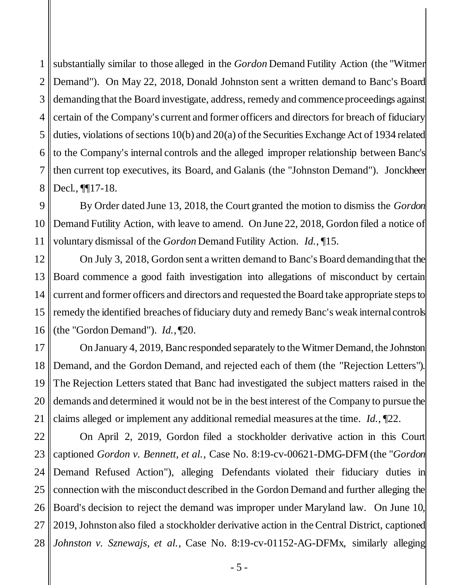1 2 3 4 5 6 7 8 substantially similar to those alleged in the *Gordon* Demand Futility Action (the "Witmer Demand"). On May 22, 2018, Donald Johnston sent a written demand to Banc's Board demanding that the Board investigate, address, remedy and commence proceedings against certain of the Company's current and former officers and directors for breach of fiduciary duties, violations of sections 10(b) and 20(a) of the Securities Exchange Act of 1934 related to the Company's internal controls and the alleged improper relationship between Banc's then current top executives, its Board, and Galanis (the "Johnston Demand"). Jonckheer Decl., ¶¶17-18.

9 10 11 By Order dated June 13, 2018, the Court granted the motion to dismiss the *Gordon* Demand Futility Action, with leave to amend. On June 22, 2018, Gordon filed a notice of voluntary dismissal of the *Gordon* Demand Futility Action. *Id.*, ¶15.

12 13 14 15 16 On July 3, 2018, Gordon sent a written demand to Banc's Board demanding that the Board commence a good faith investigation into allegations of misconduct by certain current and former officers and directors and requested the Board take appropriate steps to remedy the identified breaches of fiduciary duty and remedy Banc's weak internal controls (the "Gordon Demand"). *Id.*, ¶20.

17 18 19 20 21 On January 4, 2019, Banc responded separately to the Witmer Demand, the Johnston Demand, and the Gordon Demand, and rejected each of them (the "Rejection Letters"). The Rejection Letters stated that Banc had investigated the subject matters raised in the demands and determined it would not be in the best interest of the Company to pursue the claims alleged or implement any additional remedial measures at the time. *Id.*, ¶22.

22 23 24 25 26 27 28 On April 2, 2019, Gordon filed a stockholder derivative action in this Court captioned *Gordon v. Bennett, et al.*, Case No. 8:19-cv-00621-DMG-DFM (the "*Gordon*  Demand Refused Action"), alleging Defendants violated their fiduciary duties in connection with the misconduct described in the Gordon Demand and further alleging the Board's decision to reject the demand was improper under Maryland law. On June 10, 2019, Johnston also filed a stockholder derivative action in the Central District, captioned *Johnston v. Sznewajs, et al.*, Case No. 8:19-cv-01152-AG-DFMx, similarly alleging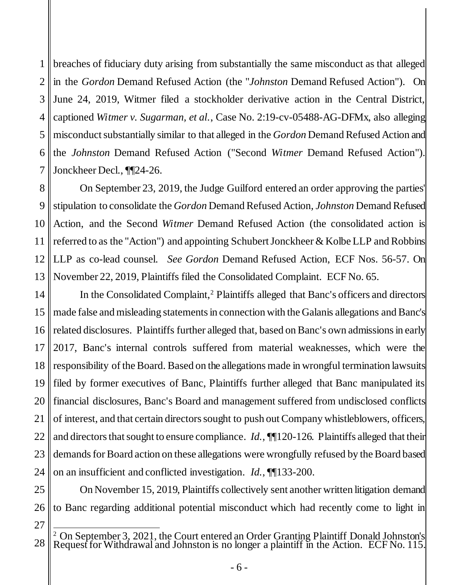1 2 3 4 5 6 7 breaches of fiduciary duty arising from substantially the same misconduct as that alleged in the *Gordon* Demand Refused Action (the "*Johnston* Demand Refused Action"). On June 24, 2019, Witmer filed a stockholder derivative action in the Central District, captioned *Witmer v. Sugarman, et al.*, Case No. 2:19-cv-05488-AG-DFMx, also alleging misconduct substantially similar to that alleged in the *Gordon* Demand Refused Action and the *Johnston* Demand Refused Action ("Second *Witmer* Demand Refused Action"). Jonckheer Decl., ¶¶24-26.

8 9 10 11 12 13 On September 23, 2019, the Judge Guilford entered an order approving the parties' stipulation to consolidate the *Gordon* Demand Refused Action*, Johnston* Demand Refused Action, and the Second *Witmer* Demand Refused Action (the consolidated action is referred to as the "Action") and appointing Schubert Jonckheer & Kolbe LLP and Robbins LLP as co-lead counsel. *See Gordon* Demand Refused Action, ECF Nos. 56-57. On November 22, 2019, Plaintiffs filed the Consolidated Complaint. ECF No. 65.

14 15 16 17 18 19 20 21 22 23 24 In the Consolidated Complaint,<sup>2</sup> Plaintiffs alleged that Banc's officers and directors made false and misleading statements in connection with the Galanis allegations and Banc's related disclosures. Plaintiffs further alleged that, based on Banc's own admissions in early 2017, Banc's internal controls suffered from material weaknesses, which were the responsibility of the Board. Based on the allegations made in wrongful termination lawsuits filed by former executives of Banc, Plaintiffs further alleged that Banc manipulated its financial disclosures, Banc's Board and management suffered from undisclosed conflicts of interest, and that certain directors sought to push out Company whistleblowers, officers, and directors that sought to ensure compliance. *Id.*, **[1**] 20-126. Plaintiffs alleged that their demands for Board action on these allegations were wrongfully refused by the Board based on an insufficient and conflicted investigation. *Id.*, ¶¶133-200.

25 26 On November 15, 2019, Plaintiffs collectively sent another written litigation demand to Banc regarding additional potential misconduct which had recently come to light in

<sup>28</sup>  $\overline{a}$  $2$  On September 3, 2021, the Court entered an Order Granting Plaintiff Donald Johnston's Request for Withdrawal and Johnston is no longer a plaintiff in the Action. ECF No. 115.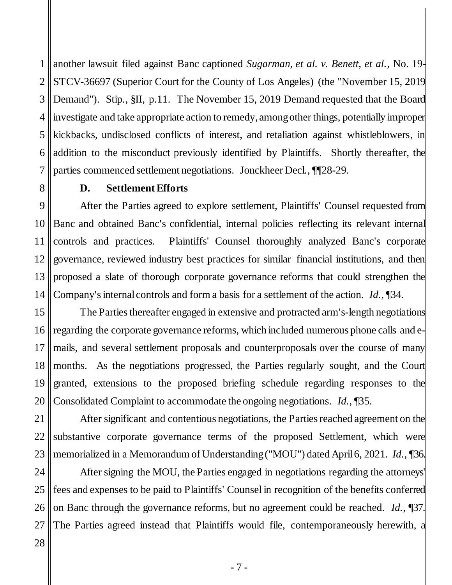1 2 3 4 5 6 7 another lawsuit filed against Banc captioned *Sugarman, et al. v. Benett, et al.*, No. 19- STCV-36697 (Superior Court for the County of Los Angeles) (the "November 15, 2019 Demand"). Stip., §II, p.11. The November 15, 2019 Demand requested that the Board investigate and take appropriate action to remedy, among other things, potentially improper kickbacks, undisclosed conflicts of interest, and retaliation against whistleblowers, in addition to the misconduct previously identified by Plaintiffs. Shortly thereafter, the parties commenced settlement negotiations. Jonckheer Decl., ¶¶28-29.

### **D. Settlement Efforts**

<span id="page-10-0"></span>9 10 11 12 13 14 After the Parties agreed to explore settlement, Plaintiffs' Counsel requested from Banc and obtained Banc's confidential, internal policies reflecting its relevant internal controls and practices. Plaintiffs' Counsel thoroughly analyzed Banc's corporate governance, reviewed industry best practices for similar financial institutions, and then proposed a slate of thorough corporate governance reforms that could strengthen the Company's internal controls and form a basis for a settlement of the action. *Id.*, ¶34.

15 16 17 18 19 20 The Parties thereafter engaged in extensive and protracted arm's-length negotiations regarding the corporate governance reforms, which included numerous phone calls and emails, and several settlement proposals and counterproposals over the course of many months. As the negotiations progressed, the Parties regularly sought, and the Court granted, extensions to the proposed briefing schedule regarding responses to the Consolidated Complaint to accommodate the ongoing negotiations. *Id.*, ¶35.

21 22 23 After significant and contentious negotiations, the Parties reached agreement on the substantive corporate governance terms of the proposed Settlement, which were memorialized in a Memorandum of Understanding ("MOU") dated April 6, 2021. *Id.*, ¶36.

24 25 26 27 After signing the MOU, the Parties engaged in negotiations regarding the attorneys' fees and expenses to be paid to Plaintiffs' Counsel in recognition of the benefits conferred on Banc through the governance reforms, but no agreement could be reached. *Id.*, ¶37. The Parties agreed instead that Plaintiffs would file, contemporaneously herewith, a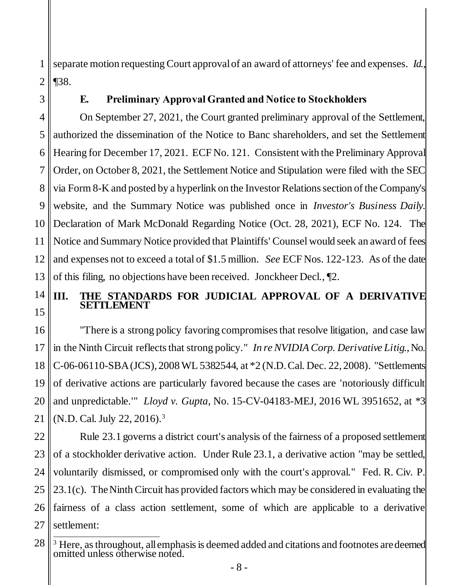1 2 separate motion requesting Court approval of an award of attorneys' fee and expenses. *Id.*, ¶38.

<span id="page-11-0"></span>3

### **E. Preliminary Approval Granted and Notice to Stockholders**

4 5 6 7 8 9 10 11 12 13 On September 27, 2021, the Court granted preliminary approval of the Settlement, authorized the dissemination of the Notice to Banc shareholders, and set the Settlement Hearing for December 17, 2021. ECF No. 121. Consistent with the Preliminary Approval Order, on October 8, 2021, the Settlement Notice and Stipulation were filed with the SEC via Form 8-K and posted by a hyperlink on the Investor Relations section of the Company's website, and the Summary Notice was published once in *Investor's Business Daily*. Declaration of Mark McDonald Regarding Notice (Oct. 28, 2021), ECF No. 124. The Notice and Summary Notice provided that Plaintiffs' Counsel would seek an award of fees and expenses not to exceed a total of \$1.5 million. *See* ECF Nos. 122-123. As of the date of this filing, no objections have been received. Jonckheer Decl., ¶2.

14 15

# <span id="page-11-2"></span><span id="page-11-1"></span>**III. THE STANDARDS FOR JUDICIAL APPROVAL OF A DERIVATIVE SETTLEMENT**

16 17 18 19 20 21 "There is a strong policy favoring compromises that resolve litigation, and case law in the Ninth Circuit reflects that strong policy." *In re NVIDIA Corp. Derivative Litig.*, No. C-06-06110-SBA (JCS), 2008 WL 5382544, at \*2 (N.D. Cal. Dec. 22, 2008). "Settlements of derivative actions are particularly favored because the cases are 'notoriously difficult and unpredictable.'" *Lloyd v. Gupta*, No. 15-CV-04183-MEJ, 2016 WL 3951652, at \*3 (N.D. Cal. July 22, 2016).<sup>3</sup>

<span id="page-11-4"></span><span id="page-11-3"></span>22 23 24 25 26 27 Rule 23.1 governs a district court's analysis of the fairness of a proposed settlement of a stockholder derivative action. Under Rule 23.1, a derivative action "may be settled, voluntarily dismissed, or compromised only with the court's approval." Fed. R. Civ. P. 23.1(c). The Ninth Circuit has provided factors which may be considered in evaluating the fairness of a class action settlement, some of which are applicable to a derivative settlement:

<sup>28</sup>  $\overline{a}$  $3$  Here, as throughout, all emphasis is deemed added and citations and footnotes are deemed omitted unless otherwise noted.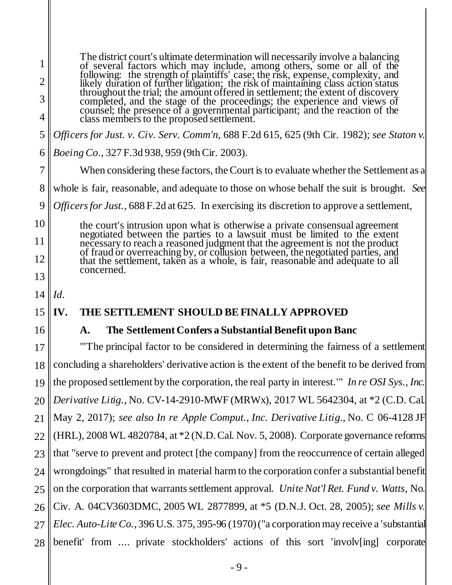<span id="page-12-7"></span><span id="page-12-6"></span><span id="page-12-5"></span><span id="page-12-4"></span><span id="page-12-3"></span><span id="page-12-2"></span><span id="page-12-1"></span><span id="page-12-0"></span>1 2 3 4 5 6 7 8 9 10 11 12 13 14 15 16 17 18 19 20 21 22 23 24 25 26 27 28 The district court's ultimate determination will necessarily involve a balancing of several factors which may include, among others, some or all of the following: the strength of plaintiffs' case; the risk, expense, complexity, and likely duration of further litigation; the risk of maintaining class action status throughout the trial; the amount offered in settlement; the extent of discovery completed, and the stage of the proceedings; the experience and views of counsel; the presence of a governmental participant; and the reaction of the class members to the proposed settlement. *Officers for Just. v. Civ. Serv. Comm'n*, 688 F.2d 615, 625 (9th Cir. 1982); *see Staton v. Boeing Co*., 327 F.3d 938, 959 (9th Cir. 2003). When considering these factors, the Court is to evaluate whether the Settlement as a whole is fair, reasonable, and adequate to those on whose behalf the suit is brought. *See Officers for Just.*, 688 F.2d at 625. In exercising its discretion to approve a settlement, the court's intrusion upon what is otherwise a private consensual agreement negotiated between the parties to a lawsuit must be limited to the extent necessary to reach a reasoned judgment that the agreement is not the product of fraud or overreaching by, or collusion between, the negotiated parties, and that the settlement, taken as a whole, is fair, reasonable and adequate to all concerned. *Id*. **IV. THE SETTLEMENT SHOULD BE FINALLY APPROVED A. The Settlement Confers a Substantial Benefit upon Banc**  "'The principal factor to be considered in determining the fairness of a settlement concluding a shareholders' derivative action is the extent of the benefit to be derived from the proposed settlement by the corporation, the real party in interest.'" *In re OSI Sys., Inc. Derivative Litig.*, No. CV-14-2910-MWF (MRWx), 2017 WL 5642304, at \*2 (C.D. Cal. May 2, 2017); *see also In re Apple Comput., Inc. Derivative Litig.*, No. C 06-4128 JF (HRL), 2008 WL 4820784, at \*2 (N.D. Cal. Nov. 5, 2008). Corporate governance reforms that "serve to prevent and protect [the company] from the reoccurrence of certain alleged wrongdoings" that resulted in material harm to the corporation confer a substantial benefit on the corporation that warrants settlement approval. *Unite Nat'l Ret. Fund v. Watts*, No. Civ. A. 04CV3603DMC, 2005 WL 2877899, at \*5 (D.N.J. Oct. 28, 2005); *see Mills v. Elec. Auto-Lite Co.*, 396 U.S. 375, 395-96 (1970) ("a corporation may receive a 'substantial benefit' from .... private stockholders' actions of this sort 'involv[ing] corporate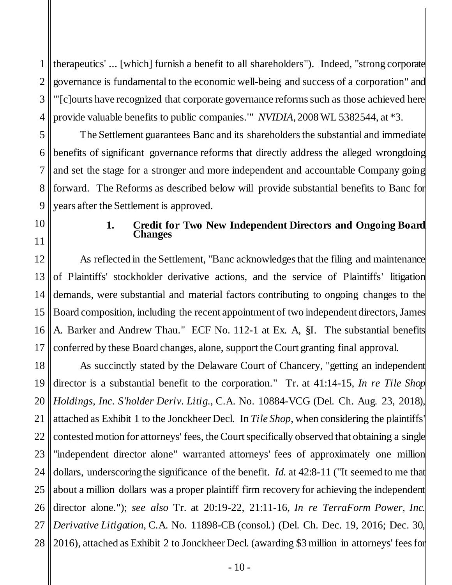1 2 3 4 therapeutics' ... [which] furnish a benefit to all shareholders"). Indeed, "strong corporate governance is fundamental to the economic well-being and success of a corporation" and "'[c]ourts have recognized that corporate governance reforms such as those achieved here provide valuable benefits to public companies.'" *NVIDIA*, 2008 WL 5382544, at \*3.

5 6 7 8 9 The Settlement guarantees Banc and its shareholders the substantial and immediate benefits of significant governance reforms that directly address the alleged wrongdoing and set the stage for a stronger and more independent and accountable Company going forward. The Reforms as described below will provide substantial benefits to Banc for years after the Settlement is approved.

<span id="page-13-0"></span>10

11

#### <span id="page-13-1"></span>**1. Credit for Two New Independent Directors and Ongoing Board Changes**

12 13 14 15 16 17 As reflected in the Settlement, "Banc acknowledges that the filing and maintenance of Plaintiffs' stockholder derivative actions, and the service of Plaintiffs' litigation demands, were substantial and material factors contributing to ongoing changes to the Board composition, including the recent appointment of two independent directors, James A. Barker and Andrew Thau." ECF No. 112-1 at Ex. A, §I. The substantial benefits conferred by these Board changes, alone, support the Court granting final approval.

18 19 20 21 22 23 24 25 26 27 28 As succinctly stated by the Delaware Court of Chancery, "getting an independent director is a substantial benefit to the corporation." Tr. at 41:14-15, *In re Tile Shop Holdings, Inc. S'holder Deriv. Litig.*, C.A. No. 10884-VCG (Del. Ch. Aug. 23, 2018), attached as Exhibit 1 to the Jonckheer Decl. In *Tile Shop*, when considering the plaintiffs' contested motion for attorneys' fees, the Court specifically observed that obtaining a single "independent director alone" warranted attorneys' fees of approximately one million dollars, underscoring the significance of the benefit. *Id.* at 42:8-11 ("It seemed to me that about a million dollars was a proper plaintiff firm recovery for achieving the independent director alone."); *see also* Tr. at 20:19-22, 21:11-16, *In re TerraForm Power, Inc. Derivative Litigation,* C.A. No. 11898-CB (consol.) (Del. Ch. Dec. 19, 2016; Dec. 30, 2016), attached as Exhibit 2 to Jonckheer Decl. (awarding \$3 million in attorneys' fees for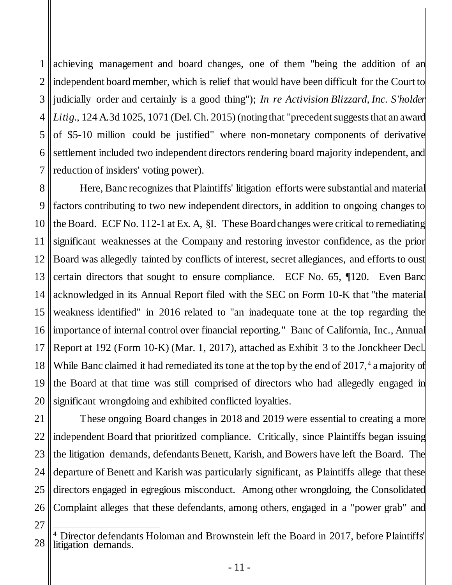<span id="page-14-0"></span>1 2 3 4 5 6 7 achieving management and board changes, one of them "being the addition of an independent board member, which is relief that would have been difficult for the Court to judicially order and certainly is a good thing"); *In re Activision Blizzard, Inc. S'holder*  Litig., 124 A.3d 1025, 1071 (Del. Ch. 2015) (noting that "precedent suggests that an award of \$5-10 million could be justified" where non-monetary components of derivative settlement included two independent directors rendering board majority independent, and reduction of insiders' voting power).

8 9 10 11 12 13 14 15 16 17 18 19 20 Here, Banc recognizes that Plaintiffs' litigation efforts were substantial and material factors contributing to two new independent directors, in addition to ongoing changes to the Board. ECF No. 112-1 at Ex. A, §I. These Board changes were critical to remediating significant weaknesses at the Company and restoring investor confidence, as the prior Board was allegedly tainted by conflicts of interest, secret allegiances, and efforts to oust certain directors that sought to ensure compliance. ECF No. 65, ¶120. Even Banc acknowledged in its Annual Report filed with the SEC on Form 10-K that "the material weakness identified" in 2016 related to "an inadequate tone at the top regarding the importance of internal control over financial reporting." Banc of California, Inc., Annual Report at 192 (Form 10-K) (Mar. 1, 2017), attached as Exhibit 3 to the Jonckheer Decl. While Banc claimed it had remediated its tone at the top by the end of  $2017<sup>4</sup>$  a majority of the Board at that time was still comprised of directors who had allegedly engaged in significant wrongdoing and exhibited conflicted loyalties.

21 22 23 24 25 26 These ongoing Board changes in 2018 and 2019 were essential to creating a more independent Board that prioritized compliance. Critically, since Plaintiffs began issuing the litigation demands, defendants Benett, Karish, and Bowers have left the Board. The departure of Benett and Karish was particularly significant, as Plaintiffs allege that these directors engaged in egregious misconduct. Among other wrongdoing, the Consolidated Complaint alleges that these defendants, among others, engaged in a "power grab" and

<sup>28</sup>  $\overline{1}$ <sup>4</sup> Director defendants Holoman and Brownstein left the Board in 2017, before Plaintiffs' litigation demands.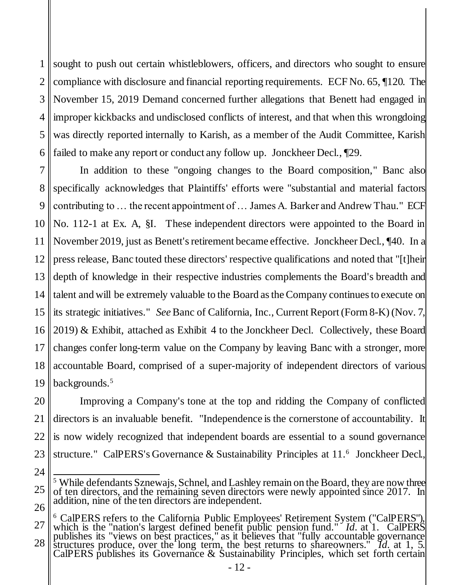1 2 3 4 5 6 sought to push out certain whistleblowers, officers, and directors who sought to ensure compliance with disclosure and financial reporting requirements. ECF No. 65, ¶120. The November 15, 2019 Demand concerned further allegations that Benett had engaged in improper kickbacks and undisclosed conflicts of interest, and that when this wrongdoing was directly reported internally to Karish, as a member of the Audit Committee, Karish failed to make any report or conduct any follow up. Jonckheer Decl., ¶29.

7 8 9 10 11 12 13 14 15 16 17 18 19 In addition to these "ongoing changes to the Board composition," Banc also specifically acknowledges that Plaintiffs' efforts were "substantial and material factors contributing to … the recent appointment of … James A. Barker and Andrew Thau." ECF No. 112-1 at Ex. A, §I. These independent directors were appointed to the Board in November 2019, just as Benett's retirement became effective. Jonckheer Decl., ¶40. In a press release, Banc touted these directors' respective qualifications and noted that "[t]heir depth of knowledge in their respective industries complements the Board's breadth and talent and will be extremely valuable to the Board as the Company continues to execute on its strategic initiatives." *See* Banc of California, Inc., Current Report (Form 8-K) (Nov. 7, 2019) & Exhibit, attached as Exhibit 4 to the Jonckheer Decl. Collectively, these Board changes confer long-term value on the Company by leaving Banc with a stronger, more accountable Board, comprised of a super-majority of independent directors of various backgrounds.<sup>5</sup>

20 21 22 23 Improving a Company's tone at the top and ridding the Company of conflicted directors is an invaluable benefit. "Independence is the cornerstone of accountability. It is now widely recognized that independent boards are essential to a sound governance structure." CalPERS's Governance & Sustainability Principles at 11.<sup>6</sup> Jonckheer Decl.

<sup>25</sup> 26  $\overline{\phantom{a}}$ <sup>5</sup> While defendants Sznewajs, Schnel, and Lashley remain on the Board, they are now three of ten directors, and the remaining seven directors were newly appointed since 2017. In addition, nine of the ten directors are independent.

<sup>27</sup> 28 <sup>6</sup> CalPERS refers to the California Public Employees' Retirement System ("CalPERS"), which is the "nation's largest defined benefit public pension fund." *Id.* at 1. CalPERS publishes its "views on best practices," as it believes that "fully accountable governance structures produce, over the long term, the best returns to shareowners." *Id.* at 1, 5. CalPERS publishes its Governance & Sustainability Principles, which set forth certain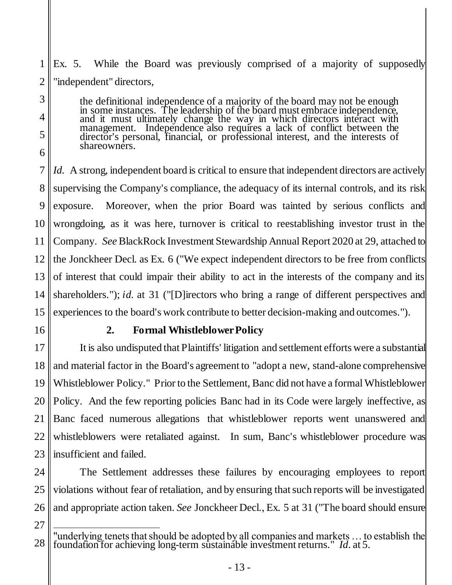1 2 Ex. 5. While the Board was previously comprised of a majority of supposedly "independent" directors,

> the definitional independence of a majority of the board may not be enough in some instances. The leadership of the board must embrace independence, and it must ultimately change the way in which directors interact with management. Independence also requires a lack of conflict between the director's personal, financial, or professional interest, and the interests of shareowners.

7 8 9 10 11 12 13 14 15 *Id.* A strong, independent board is critical to ensure that independent directors are actively supervising the Company's compliance, the adequacy of its internal controls, and its risk exposure. Moreover, when the prior Board was tainted by serious conflicts and wrongdoing, as it was here, turnover is critical to reestablishing investor trust in the Company. *See* BlackRock Investment Stewardship Annual Report 2020 at 29, attached to the Jonckheer Decl. as Ex. 6 ("We expect independent directors to be free from conflicts of interest that could impair their ability to act in the interests of the company and its shareholders."); *id.* at 31 ("[D]irectors who bring a range of different perspectives and experiences to the board's work contribute to better decision-making and outcomes.").

<span id="page-16-0"></span>16

3

4

5

6

## **2. Formal Whistleblower Policy**

17 18 19 20 21 22 23 It is also undisputed that Plaintiffs' litigation and settlement efforts were a substantial and material factor in the Board's agreement to "adopt a new, stand-alone comprehensive Whistleblower Policy." Prior to the Settlement, Banc did not have a formal Whistleblower Policy. And the few reporting policies Banc had in its Code were largely ineffective, as Banc faced numerous allegations that whistleblower reports went unanswered and whistleblowers were retaliated against. In sum, Banc's whistleblower procedure was insufficient and failed.

24 25 26 The Settlement addresses these failures by encouraging employees to report violations without fear of retaliation, and by ensuring that such reports will be investigated and appropriate action taken. *See* Jonckheer Decl., Ex. 5 at 31 ("The board should ensure

<sup>27</sup>

<sup>28</sup>  $\overline{\phantom{a}}$ "underlying tenets that should be adopted by all companies and markets … to establish the foundation for achieving long-term sustainable investment returns." *Id*. at 5.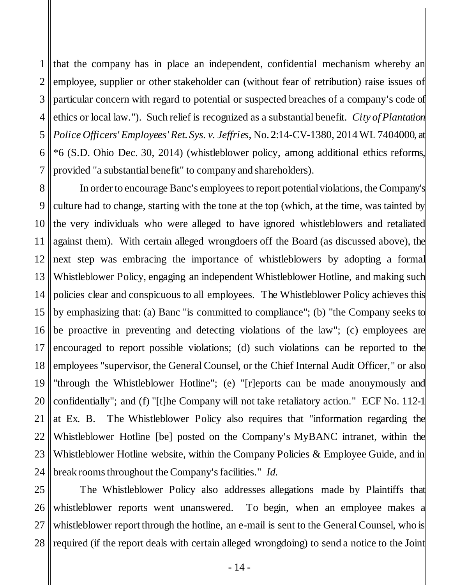<span id="page-17-0"></span>1 2 3 4 5 6 7 that the company has in place an independent, confidential mechanism whereby an employee, supplier or other stakeholder can (without fear of retribution) raise issues of particular concern with regard to potential or suspected breaches of a company's code of ethics or local law."). Such relief is recognized as a substantial benefit. *City of Plantation Police Officers' Employees' Ret. Sys. v. Jeffries*, No. 2:14-CV-1380, 2014 WL 7404000, at \*6 (S.D. Ohio Dec. 30, 2014) (whistleblower policy, among additional ethics reforms, provided "a substantial benefit" to company and shareholders).

8 9 10 11 12 13 14 15 16 17 18 19 20 21 22 23 24 In order to encourage Banc's employees to report potential violations, the Company's culture had to change, starting with the tone at the top (which, at the time, was tainted by the very individuals who were alleged to have ignored whistleblowers and retaliated against them). With certain alleged wrongdoers off the Board (as discussed above), the next step was embracing the importance of whistleblowers by adopting a formal Whistleblower Policy, engaging an independent Whistleblower Hotline, and making such policies clear and conspicuous to all employees. The Whistleblower Policy achieves this by emphasizing that: (a) Banc "is committed to compliance"; (b) "the Company seeks to be proactive in preventing and detecting violations of the law"; (c) employees are encouraged to report possible violations; (d) such violations can be reported to the employees "supervisor, the General Counsel, or the Chief Internal Audit Officer," or also "through the Whistleblower Hotline"; (e) "[r]eports can be made anonymously and confidentially"; and (f) "[t]he Company will not take retaliatory action." ECF No. 112-1 at Ex. B. The Whistleblower Policy also requires that "information regarding the Whistleblower Hotline [be] posted on the Company's MyBANC intranet, within the Whistleblower Hotline website, within the Company Policies & Employee Guide, and in break rooms throughout the Company's facilities." *Id.*

25 26 27 28 The Whistleblower Policy also addresses allegations made by Plaintiffs that whistleblower reports went unanswered. To begin, when an employee makes a whistleblower report through the hotline, an e-mail is sent to the General Counsel, who is required (if the report deals with certain alleged wrongdoing) to send a notice to the Joint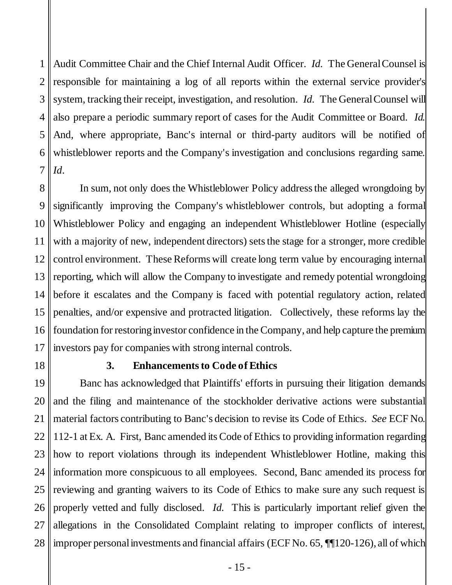1 2 3 4 5 6 7 Audit Committee Chair and the Chief Internal Audit Officer. *Id.* The General Counsel is responsible for maintaining a log of all reports within the external service provider's system, tracking their receipt, investigation, and resolution. *Id.* The General Counsel will also prepare a periodic summary report of cases for the Audit Committee or Board. *Id.*  And, where appropriate, Banc's internal or third-party auditors will be notified of whistleblower reports and the Company's investigation and conclusions regarding same. *Id*.

8 9 10 11 12 13 14 15 16 17 In sum, not only does the Whistleblower Policy address the alleged wrongdoing by significantly improving the Company's whistleblower controls, but adopting a formal Whistleblower Policy and engaging an independent Whistleblower Hotline (especially with a majority of new, independent directors) sets the stage for a stronger, more credible control environment. These Reforms will create long term value by encouraging internal reporting, which will allow the Company to investigate and remedy potential wrongdoing before it escalates and the Company is faced with potential regulatory action, related penalties, and/or expensive and protracted litigation. Collectively, these reforms lay the foundation for restoring investor confidence in the Company, and help capture the premium investors pay for companies with strong internal controls.

<span id="page-18-0"></span>18 19

# **3. Enhancements to Code of Ethics**

20 21 22 23 24 25 26 27 28 Banc has acknowledged that Plaintiffs' efforts in pursuing their litigation demands and the filing and maintenance of the stockholder derivative actions were substantial material factors contributing to Banc's decision to revise its Code of Ethics. *See* ECF No. 112-1 at Ex. A. First, Banc amended its Code of Ethics to providing information regarding how to report violations through its independent Whistleblower Hotline, making this information more conspicuous to all employees. Second, Banc amended its process for reviewing and granting waivers to its Code of Ethics to make sure any such request is properly vetted and fully disclosed. *Id.* This is particularly important relief given the allegations in the Consolidated Complaint relating to improper conflicts of interest, improper personal investments and financial affairs (ECF No. 65, ¶¶120-126), all of which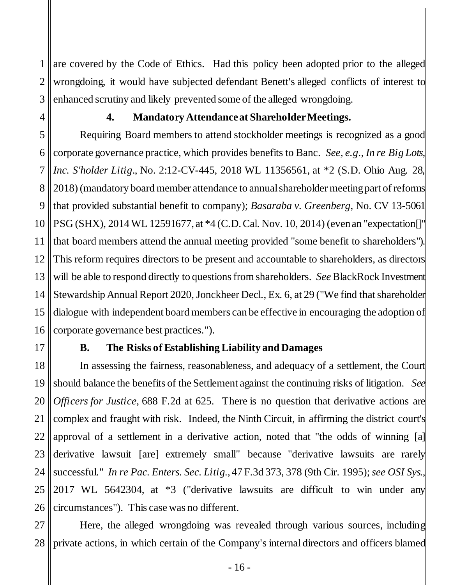1 2 3 are covered by the Code of Ethics. Had this policy been adopted prior to the alleged wrongdoing, it would have subjected defendant Benett's alleged conflicts of interest to enhanced scrutiny and likely prevented some of the alleged wrongdoing.

<span id="page-19-0"></span>4

# <span id="page-19-3"></span><span id="page-19-2"></span>**4. Mandatory Attendance at Shareholder Meetings.**

5 6 7 8 9 10 11 12 13 14 15 16 Requiring Board members to attend stockholder meetings is recognized as a good corporate governance practice, which provides benefits to Banc. *See, e.g*., *In re Big Lots, Inc. S'holder Litig*., No. 2:12-CV-445, 2018 WL 11356561, at \*2 (S.D. Ohio Aug. 28, 2018) (mandatory board member attendance to annual shareholder meeting part of reforms that provided substantial benefit to company); *Basaraba v. Greenberg*, No. CV 13-5061 PSG (SHX), 2014 WL 12591677, at \*4 (C.D. Cal. Nov. 10, 2014) (even an "expectation[]" that board members attend the annual meeting provided "some benefit to shareholders"). This reform requires directors to be present and accountable to shareholders, as directors will be able to respond directly to questions from shareholders. *See* BlackRock Investment Stewardship Annual Report 2020, Jonckheer Decl., Ex. 6, at 29 ("We find that shareholder dialogue with independent board members can be effective in encouraging the adoption of corporate governance best practices.").

<span id="page-19-1"></span>17

## <span id="page-19-4"></span>**B. The Risks of Establishing Liability and Damages**

18 19 20 21 22 23 24 25 26 In assessing the fairness, reasonableness, and adequacy of a settlement, the Court should balance the benefits of the Settlement against the continuing risks of litigation. *See Officers for Justice*, 688 F.2d at 625. There is no question that derivative actions are complex and fraught with risk. Indeed, the Ninth Circuit, in affirming the district court's approval of a settlement in a derivative action, noted that "the odds of winning [a] derivative lawsuit [are] extremely small" because "derivative lawsuits are rarely successful." *In re Pac. Enters. Sec. Litig.*, 47 F.3d 373, 378 (9th Cir. 1995); *see OSI Sys.*, 2017 WL 5642304, at \*3 ("derivative lawsuits are difficult to win under any circumstances"). This case was no different.

<span id="page-19-5"></span>27 28 Here, the alleged wrongdoing was revealed through various sources, including private actions, in which certain of the Company's internal directors and officers blamed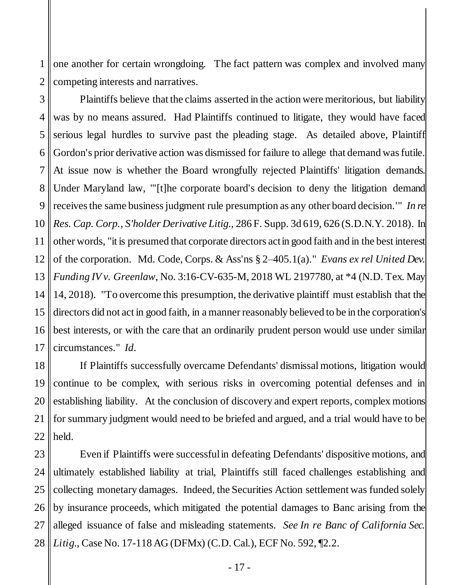1 2 one another for certain wrongdoing. The fact pattern was complex and involved many competing interests and narratives.

<span id="page-20-2"></span>3 4 5 6 7 8 9 10 11 12 13 14 15 16 17 Plaintiffs believe that the claims asserted in the action were meritorious, but liability was by no means assured. Had Plaintiffs continued to litigate, they would have faced serious legal hurdles to survive past the pleading stage. As detailed above, Plaintiff Gordon's prior derivative action was dismissed for failure to allege that demand was futile. At issue now is whether the Board wrongfully rejected Plaintiffs' litigation demands. Under Maryland law, "'[t]he corporate board's decision to deny the litigation demand receives the same business judgment rule presumption as any other board decision.'" *In re Res. Cap. Corp., S'holder Derivative Litig.*, 286 F. Supp. 3d 619, 626 (S.D.N.Y. 2018). In other words, "it is presumed that corporate directors act in good faith and in the best interest of the corporation. Md. Code, Corps. & Ass'ns § 2–405.1(a)." *Evans ex rel United Dev. Funding IV v. Greenlaw*, No. 3:16-CV-635-M, 2018 WL 2197780, at \*4 (N.D. Tex. May 14, 2018). "To overcome this presumption, the derivative plaintiff must establish that the directors did not act in good faith, in a manner reasonably believed to be in the corporation's best interests, or with the care that an ordinarily prudent person would use under similar circumstances." *Id*.

<span id="page-20-3"></span><span id="page-20-0"></span>18 19 20 21 22 If Plaintiffs successfully overcame Defendants' dismissal motions, litigation would continue to be complex, with serious risks in overcoming potential defenses and in establishing liability. At the conclusion of discovery and expert reports, complex motions for summary judgment would need to be briefed and argued, and a trial would have to be held.

<span id="page-20-1"></span>23 24 25 26 27 28 Even if Plaintiffs were successful in defeating Defendants' dispositive motions, and ultimately established liability at trial, Plaintiffs still faced challenges establishing and collecting monetary damages. Indeed, the Securities Action settlement was funded solely by insurance proceeds, which mitigated the potential damages to Banc arising from the alleged issuance of false and misleading statements. *See In re Banc of California Sec. Litig.,* Case No. 17-118 AG (DFMx) (C.D. Cal.), ECF No. 592, ¶2.2.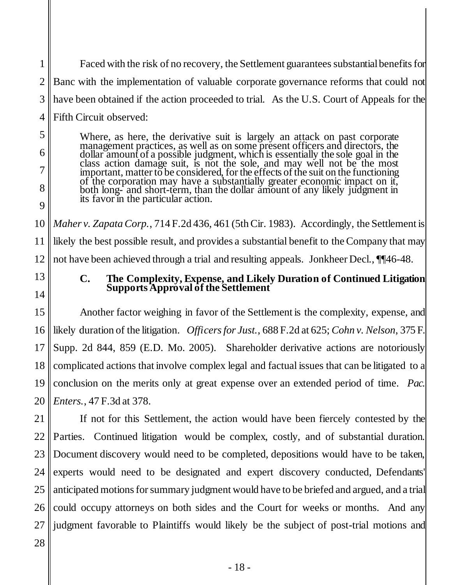1 2 3 4 Faced with the risk of no recovery, the Settlement guarantees substantial benefits for Banc with the implementation of valuable corporate governance reforms that could not have been obtained if the action proceeded to trial. As the U.S. Court of Appeals for the Fifth Circuit observed:

Where, as here, the derivative suit is largely an attack on past corporate management practices, as well as on some present officers and directors, the dollar amount of a possible judgment, which is essentially the sole goal in the class action damage suit, is not the sole, and may well not be the most important, matter to be considered, for the effects of the suit on the functioning of the corporation may have a substantially greater economic impact on it, both long- and short-term, than the dollar amount of any likely judgment in its favor in the particular action.

10 11 12 *Maher v. Zapata Corp.*, 714 F.2d 436, 461 (5th Cir. 1983). Accordingly, the Settlement is likely the best possible result, and provides a substantial benefit to the Company that may not have been achieved through a trial and resulting appeals. Jonkheer Decl.,  $\P$ [46-48.

<span id="page-21-0"></span>13 14

5

6

7

8

<span id="page-21-3"></span>9

### <span id="page-21-2"></span><span id="page-21-1"></span>**C. The Complexity, Expense, and Likely Duration of Continued Litigation Supports Approval of the Settlement**

15 16 17 18 19 20 Another factor weighing in favor of the Settlement is the complexity, expense, and likely duration of the litigation. *Officersfor Just.*, 688 F.2d at 625; *Cohn v. Nelson*, 375 F. Supp. 2d 844, 859 (E.D. Mo. 2005). Shareholder derivative actions are notoriously complicated actions that involve complex legal and factual issues that can be litigated to a conclusion on the merits only at great expense over an extended period of time. *Pac. Enters.*, 47 F.3d at 378.

21 22 23 24 25 26 27 If not for this Settlement, the action would have been fiercely contested by the Parties. Continued litigation would be complex, costly, and of substantial duration. Document discovery would need to be completed, depositions would have to be taken, experts would need to be designated and expert discovery conducted, Defendants' anticipated motions for summary judgment would have to be briefed and argued, and a trial could occupy attorneys on both sides and the Court for weeks or months. And any judgment favorable to Plaintiffs would likely be the subject of post-trial motions and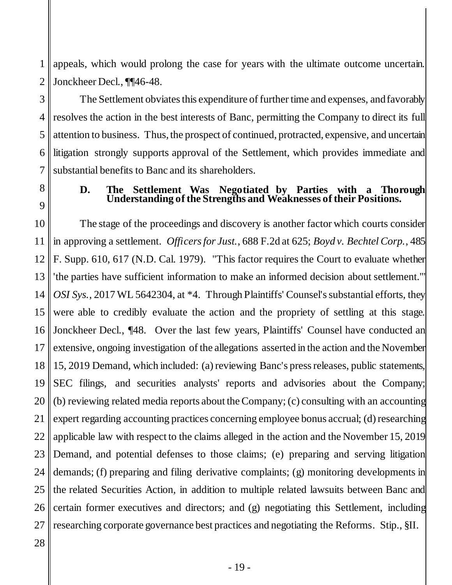1 2 appeals, which would prolong the case for years with the ultimate outcome uncertain. Jonckheer Decl., ¶¶46-48.

3 4 5 6 7 The Settlement obviates this expenditure of further time and expenses, and favorably resolves the action in the best interests of Banc, permitting the Company to direct its full attention to business. Thus, the prospect of continued, protracted, expensive, and uncertain litigation strongly supports approval of the Settlement, which provides immediate and substantial benefits to Banc and its shareholders.

<span id="page-22-0"></span>

8

9

#### <span id="page-22-1"></span>**D. The Settlement Was Negotiated by Parties with a Thorough Understanding of the Strengths and Weaknesses of their Positions.**

<span id="page-22-2"></span>10 11 12 13 14 15 16 17 18 19 20 21 22 23 24 25 26 27 The stage of the proceedings and discovery is another factor which courts consider in approving a settlement. *Officers for Just.*, 688 F.2d at 625; *Boyd v. Bechtel Corp.*, 485 F. Supp. 610, 617 (N.D. Cal. 1979). "This factor requires the Court to evaluate whether 'the parties have sufficient information to make an informed decision about settlement.'" *OSI Sys.*, 2017 WL 5642304, at \*4. Through Plaintiffs' Counsel's substantial efforts, they were able to credibly evaluate the action and the propriety of settling at this stage. Jonckheer Decl., ¶48. Over the last few years, Plaintiffs' Counsel have conducted an extensive, ongoing investigation of the allegations asserted in the action and the November 15, 2019 Demand, which included: (a)reviewing Banc's press releases, public statements, SEC filings, and securities analysts' reports and advisories about the Company; (b) reviewing related media reports about the Company; (c) consulting with an accounting expert regarding accounting practices concerning employee bonus accrual; (d) researching applicable law with respect to the claims alleged in the action and the November 15, 2019 Demand, and potential defenses to those claims; (e) preparing and serving litigation demands; (f) preparing and filing derivative complaints; (g) monitoring developments in the related Securities Action, in addition to multiple related lawsuits between Banc and certain former executives and directors; and (g) negotiating this Settlement, including researching corporate governance best practices and negotiating the Reforms. Stip., §II.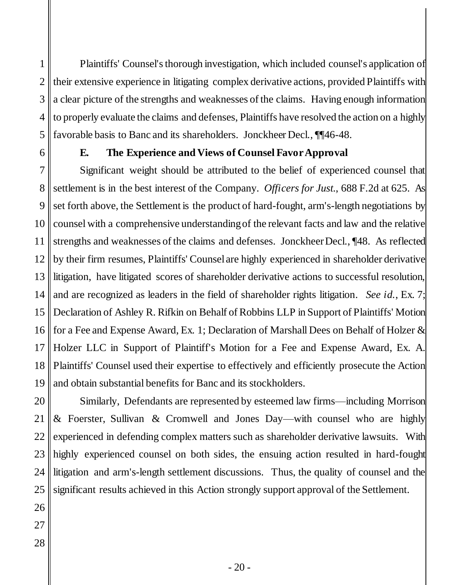1 2 3 4 5 Plaintiffs' Counsel's thorough investigation, which included counsel's application of their extensive experience in litigating complex derivative actions, provided Plaintiffs with a clear picture of the strengths and weaknesses of the claims. Having enough information to properly evaluate the claims and defenses, Plaintiffs have resolved the action on a highly favorable basis to Banc and its shareholders. Jonckheer Decl., ¶¶46-48.

<span id="page-23-0"></span>

6

## **E. The Experience and Views of Counsel Favor Approval**

7 8 9 10 11 12 13 14 15 16 17 18 19 Significant weight should be attributed to the belief of experienced counsel that settlement is in the best interest of the Company. *Officers for Just.*, 688 F.2d at 625. As set forth above, the Settlement is the product of hard-fought, arm's-length negotiations by counsel with a comprehensive understanding of the relevant facts and law and the relative strengths and weaknesses of the claims and defenses. Jonckheer Decl., ¶48. As reflected by their firm resumes, Plaintiffs' Counsel are highly experienced in shareholder derivative litigation, have litigated scores of shareholder derivative actions to successful resolution, and are recognized as leaders in the field of shareholder rights litigation. *See id.*, Ex. 7; Declaration of Ashley R. Rifkin on Behalf of Robbins LLP in Support of Plaintiffs' Motion for a Fee and Expense Award, Ex. 1; Declaration of Marshall Dees on Behalf of Holzer & Holzer LLC in Support of Plaintiff's Motion for a Fee and Expense Award, Ex. A. Plaintiffs' Counsel used their expertise to effectively and efficiently prosecute the Action and obtain substantial benefits for Banc and its stockholders.

20 21 Similarly, Defendants are represented by esteemed law firms—including Morrison & Foerster, Sullivan & Cromwell and Jones Day—with counsel who are highly experienced in defending complex matters such as shareholder derivative lawsuits. With highly experienced counsel on both sides, the ensuing action resulted in hard-fought litigation and arm's-length settlement discussions. Thus, the quality of counsel and the significant results achieved in this Action strongly support approval of the Settlement.